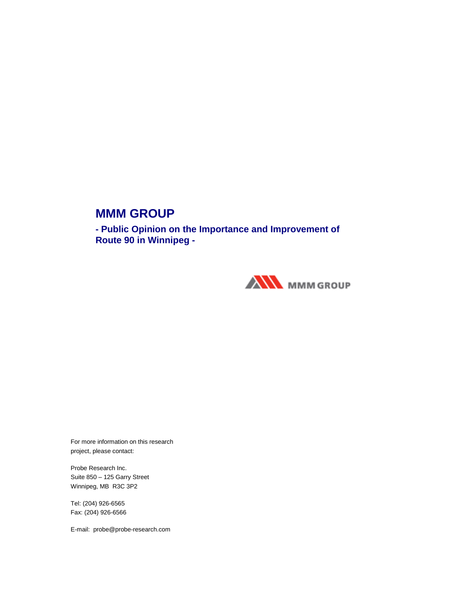## **MMM GROUP**

**- Public Opinion on the Importance and Improvement of Route 90 in Winnipeg -** 



For more information on this research project, please contact:

Probe Research Inc. Suite 850 – 125 Garry Street Winnipeg, MB R3C 3P2

Tel: (204) 926-6565 Fax: (204) 926-6566

E-mail: probe@probe-research.com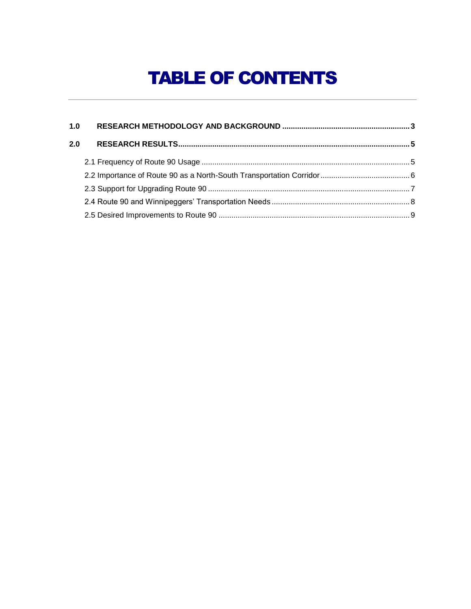# TABLE OF CONTENTS

| 1.0 |  |
|-----|--|
| 2.0 |  |
|     |  |
|     |  |
|     |  |
|     |  |
|     |  |
|     |  |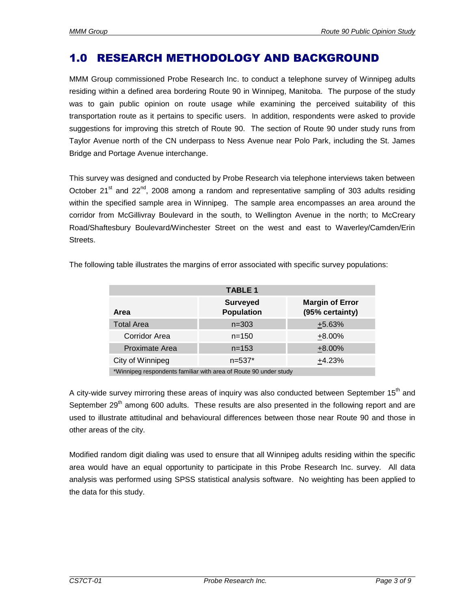### 1.0 RESEARCH METHODOLOGY AND BACKGROUND

MMM Group commissioned Probe Research Inc. to conduct a telephone survey of Winnipeg adults residing within a defined area bordering Route 90 in Winnipeg, Manitoba. The purpose of the study was to gain public opinion on route usage while examining the perceived suitability of this transportation route as it pertains to specific users. In addition, respondents were asked to provide suggestions for improving this stretch of Route 90. The section of Route 90 under study runs from Taylor Avenue north of the CN underpass to Ness Avenue near Polo Park, including the St. James Bridge and Portage Avenue interchange.

This survey was designed and conducted by Probe Research via telephone interviews taken between October 21 $\mathrm{st}$  and 22 $\mathrm{nd}$ , 2008 among a random and representative sampling of 303 adults residing within the specified sample area in Winnipeg. The sample area encompasses an area around the corridor from McGillivray Boulevard in the south, to Wellington Avenue in the north; to McCreary Road/Shaftesbury Boulevard/Winchester Street on the west and east to Waverley/Camden/Erin Streets.

| <b>TABLE 1</b>       |                                                                  |                                           |  |  |
|----------------------|------------------------------------------------------------------|-------------------------------------------|--|--|
| Area                 | <b>Surveyed</b><br><b>Population</b>                             | <b>Margin of Error</b><br>(95% certainty) |  |  |
| <b>Total Area</b>    | $n = 303$                                                        | $+5.63%$                                  |  |  |
| <b>Corridor Area</b> | $n = 150$                                                        | $+8.00%$                                  |  |  |
| Proximate Area       | $n = 153$                                                        | $+8.00%$                                  |  |  |
| City of Winnipeg     | $n = 537*$                                                       | $+4.23%$                                  |  |  |
|                      | *Winnipeg respondents familiar with area of Route 90 under study |                                           |  |  |

The following table illustrates the margins of error associated with specific survey populations:

\*Winnipeg respondents familiar with area of Route 90 under study

A city-wide survey mirroring these areas of inquiry was also conducted between September 15<sup>th</sup> and September 29<sup>th</sup> among 600 adults. These results are also presented in the following report and are used to illustrate attitudinal and behavioural differences between those near Route 90 and those in other areas of the city.

Modified random digit dialing was used to ensure that all Winnipeg adults residing within the specific area would have an equal opportunity to participate in this Probe Research Inc. survey. All data analysis was performed using SPSS statistical analysis software. No weighting has been applied to the data for this study.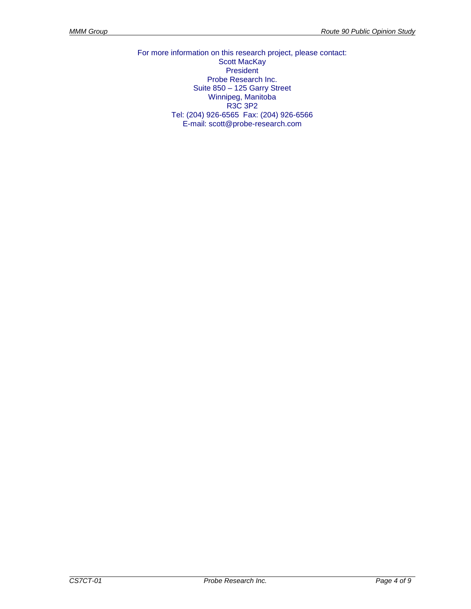For more information on this research project, please contact: Scott MacKay President Probe Research Inc. Suite 850 – 125 Garry Street Winnipeg, Manitoba R3C 3P2 Tel: (204) 926-6565 Fax: (204) 926-6566 E-mail: scott@probe-research.com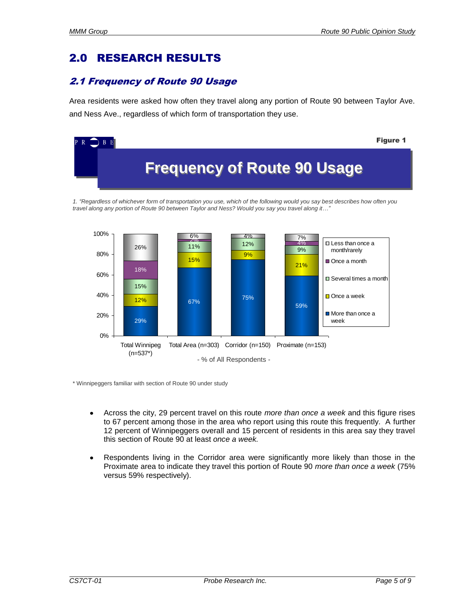## 2.0 RESEARCH RESULTS

#### 2.1 Frequency of Route 90 Usage

Area residents were asked how often they travel along any portion of Route 90 between Taylor Ave. and Ness Ave., regardless of which form of transportation they use.



*travel along any portion of Route 90 between Taylor and Ness? Would you say you travel along it…"*



\* Winnipeggers familiar with section of Route 90 under study

- Across the city, 29 percent travel on this route *more than once a week* and this figure rises to 67 percent among those in the area who report using this route this frequently. A further 12 percent of Winnipeggers overall and 15 percent of residents in this area say they travel this section of Route 90 at least *once a week.*
- Respondents living in the Corridor area were significantly more likely than those in the Proximate area to indicate they travel this portion of Route 90 *more than once a week* (75% versus 59% respectively).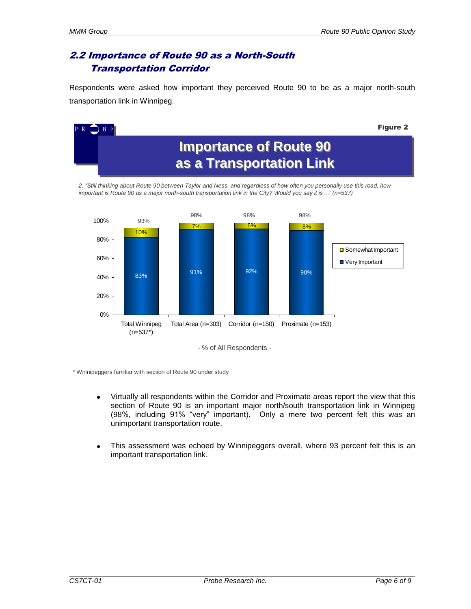#### 2.2 Importance of Route 90 as a North-South Transportation Corridor

Respondents were asked how important they perceived Route 90 to be as a major north-south transportation link in Winnipeg.



- % of All Respondents -

\* Winnipeggers familiar with section of Route 90 under study

- Virtually all respondents within the Corridor and Proximate areas report the view that this  $\bullet$ section of Route 90 is an important major north/south transportation link in Winnipeg (98%, including 91% "very" important). Only a mere two percent felt this was an unimportant transportation route.
- This assessment was echoed by Winnipeggers overall, where 93 percent felt this is an  $\bullet$ important transportation link.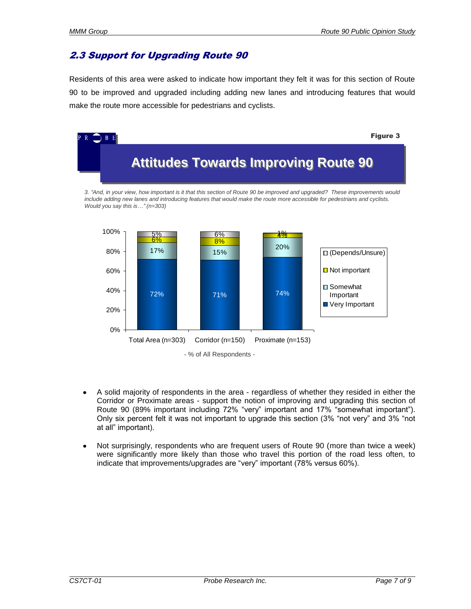#### 2.3 Support for Upgrading Route 90

Residents of this area were asked to indicate how important they felt it was for this section of Route 90 to be improved and upgraded including adding new lanes and introducing features that would make the route more accessible for pedestrians and cyclists.



- A solid majority of respondents in the area regardless of whether they resided in either the Corridor or Proximate areas - support the notion of improving and upgrading this section of Route 90 (89% important including 72% "very" important and 17% "somewhat important"). Only six percent felt it was not important to upgrade this section (3% "not very" and 3% "not at all" important).
- Not surprisingly, respondents who are frequent users of Route 90 (more than twice a week) were significantly more likely than those who travel this portion of the road less often, to indicate that improvements/upgrades are "very" important (78% versus 60%).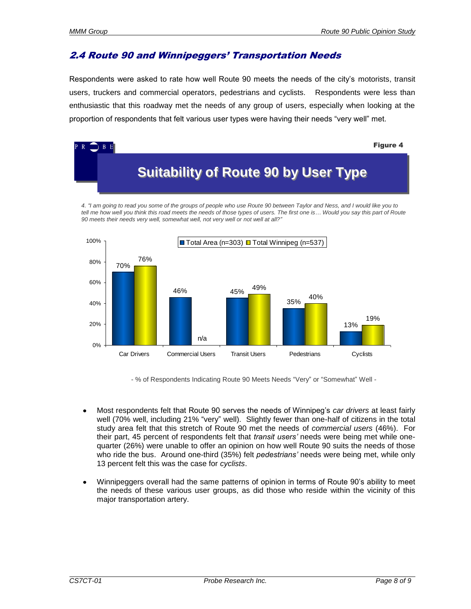#### 2.4 Route 90 and Winnipeggers' Transportation Needs

Respondents were asked to rate how well Route 90 meets the needs of the city's motorists, transit users, truckers and commercial operators, pedestrians and cyclists. Respondents were less than enthusiastic that this roadway met the needs of any group of users, especially when looking at the proportion of respondents that felt various user types were having their needs "very well" met.



*4. "I am going to read you some of the groups of people who use Route 90 between Taylor and Ness, and I would like you to tell me how well you think this road meets the needs of those types of users. The first one is… Would you say this part of Route 90 meets their needs very well, somewhat well, not very well or not well at all?"*



- % of Respondents Indicating Route 90 Meets Needs "Very" or "Somewhat" Well -

- Most respondents felt that Route 90 serves the needs of Winnipeg's *car drivers* at least fairly well (70% well, including 21% "very" well). Slightly fewer than one-half of citizens in the total study area felt that this stretch of Route 90 met the needs of *commercial users* (46%). For their part, 45 percent of respondents felt that *transit users'* needs were being met while onequarter (26%) were unable to offer an opinion on how well Route 90 suits the needs of those who ride the bus. Around one-third (35%) felt *pedestrians'* needs were being met, while only 13 percent felt this was the case for *cyclists*.
- Winnipeggers overall had the same patterns of opinion in terms of Route 90's ability to meet the needs of these various user groups, as did those who reside within the vicinity of this major transportation artery.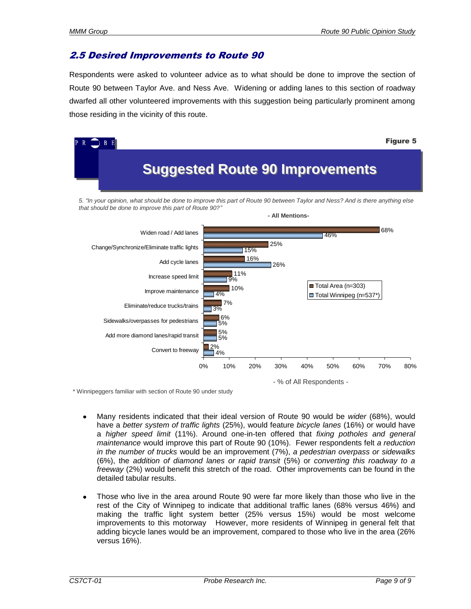#### 2.5 Desired Improvements to Route 90

Respondents were asked to volunteer advice as to what should be done to improve the section of Route 90 between Taylor Ave. and Ness Ave. Widening or adding lanes to this section of roadway dwarfed all other volunteered improvements with this suggestion being particularly prominent among those residing in the vicinity of this route.



\* Winnipeggers familiar with section of Route 90 under study

- Many residents indicated that their ideal version of Route 90 would be *wider* (68%), would have a *better system of traffic lights* (25%), would feature *bicycle lanes* (16%) or would have a *higher speed limit* (11%). Around one-in-ten offered that *fixing potholes and general maintenance* would improve this part of Route 90 (10%). Fewer respondents felt *a reduction in the number of trucks* would be an improvement (7%), *a pedestrian overpass or sidewalks* (6%), the *addition of diamond lanes or rapid transit* (5%) or *converting this roadway to a freeway* (2%) would benefit this stretch of the road. Other improvements can be found in the detailed tabular results.
- Those who live in the area around Route 90 were far more likely than those who live in the rest of the City of Winnipeg to indicate that additional traffic lanes (68% versus 46%) and making the traffic light system better (25% versus 15%) would be most welcome improvements to this motorway However, more residents of Winnipeg in general felt that adding bicycle lanes would be an improvement, compared to those who live in the area (26% versus 16%).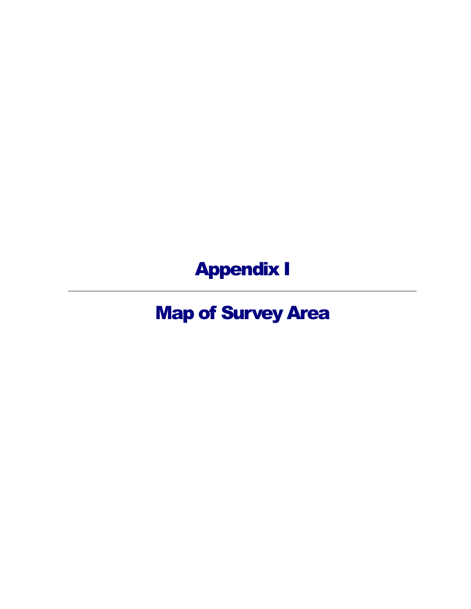Appendix I

Map of Survey Area